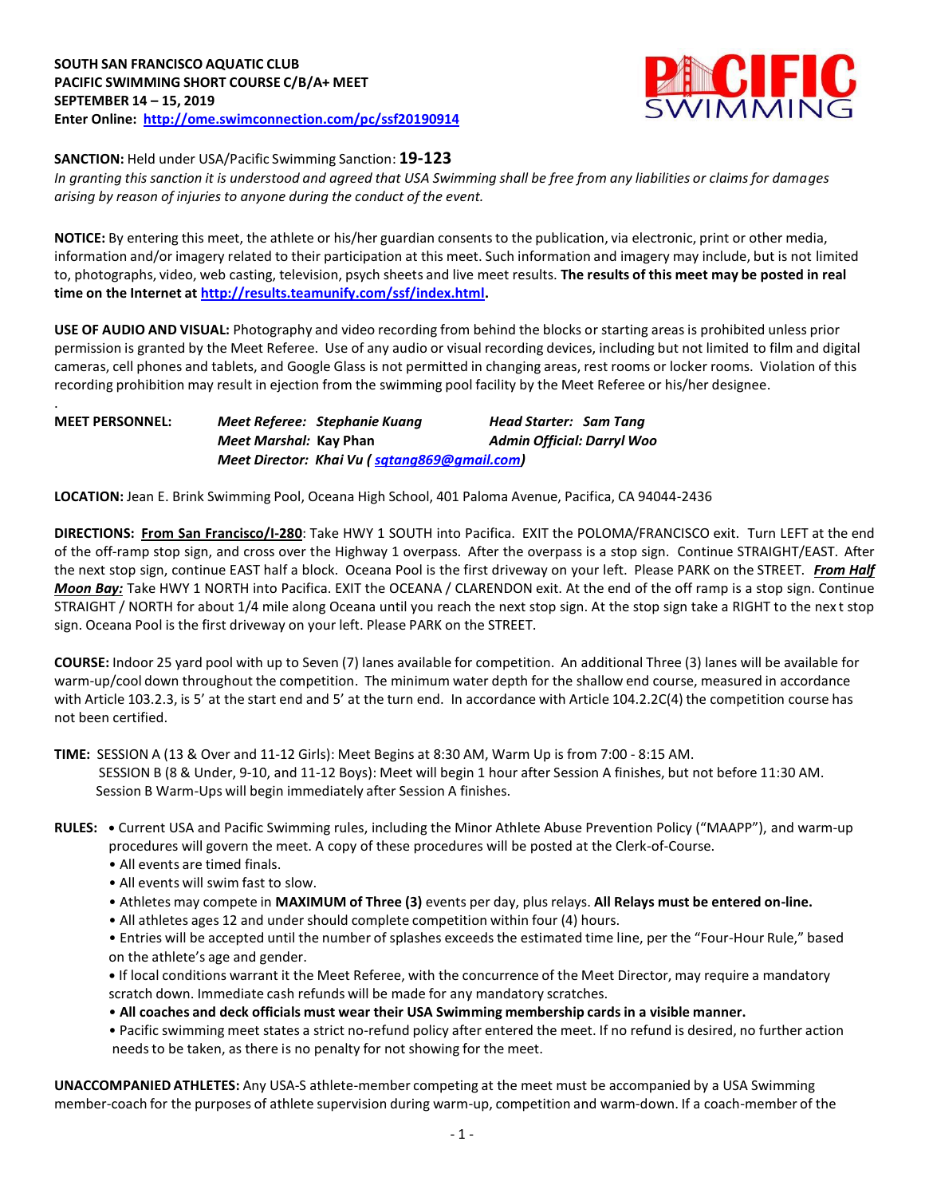

**SANCTION:** Held under USA/Pacific Swimming Sanction: **19-123**

In granting this sanction it is understood and agreed that USA Swimming shall be free from any liabilities or claims for damages *arising by reason of injuries to anyone during the conduct of the event.*

**NOTICE:** By entering this meet, the athlete or his/her guardian consentsto the publication, via electronic, print or other media, information and/or imagery related to their participation at this meet. Such information and imagery may include, but is not limited to, photographs, video, web casting, television, psych sheets and live meet results. **The results of this meet may be posted in real time on the Internet at [http://results.teamunify.com/ssf/index.html.](http://results.teamunify.com/ssf/index.html)**

**USE OF AUDIO AND VISUAL:** Photography and video recording from behind the blocks or starting areas is prohibited unless prior permission is granted by the Meet Referee. Use of any audio or visual recording devices, including but not limited to film and digital cameras, cell phones and tablets, and Google Glass is not permitted in changing areas, rest rooms or locker rooms. Violation of this recording prohibition may result in ejection from the swimming pool facility by the Meet Referee or his/her designee.

| <b>MEET PERSONNEL:</b> |                               | Meet Referee: Stephanie Kuang                | Head Starter: Sam Tang            |  |
|------------------------|-------------------------------|----------------------------------------------|-----------------------------------|--|
|                        | <i>Meet Marshal: Kay Phan</i> |                                              | <b>Admin Official: Darryl Woo</b> |  |
|                        |                               | Meet Director: Khai Vu (sqtang869@gmail.com) |                                   |  |

**LOCATION:** Jean E. Brink Swimming Pool, Oceana High School, 401 Paloma Avenue, Pacifica, CA 94044-2436

**DIRECTIONS: From San Francisco/I-280**: Take HWY 1 SOUTH into Pacifica. EXIT the POLOMA/FRANCISCO exit. Turn LEFT at the end of the off-ramp stop sign, and cross over the Highway 1 overpass. After the overpass is a stop sign. Continue STRAIGHT/EAST. After the next stop sign, continue EAST half a block. Oceana Pool is the first driveway on your left. Please PARK on the STREET. *From Half Moon Bay:* Take HWY 1 NORTH into Pacifica. EXIT the OCEANA / CLARENDON exit. At the end of the off ramp is a stop sign. Continue STRAIGHT / NORTH for about 1/4 mile along Oceana until you reach the next stop sign. At the stop sign take a RIGHT to the nex t stop sign. Oceana Pool is the first driveway on your left. Please PARK on the STREET.

**COURSE:** Indoor 25 yard pool with up to Seven (7) lanes available for competition. An additional Three (3) lanes will be available for warm-up/cool down throughout the competition. The minimum water depth for the shallow end course, measured in accordance with Article 103.2.3, is 5' at the start end and 5' at the turn end. In accordance with Article 104.2.2C(4) the competition course has not been certified.

**TIME:** SESSION A (13 & Over and 11-12 Girls): Meet Begins at 8:30 AM, Warm Up is from 7:00 - 8:15 AM. SESSION B (8 & Under, 9-10, and 11-12 Boys): Meet will begin 1 hour after Session A finishes, but not before 11:30 AM. Session B Warm-Ups will begin immediately after Session A finishes.

- **RULES: •** Current USA and Pacific Swimming rules, including the Minor Athlete Abuse Prevention Policy ("MAAPP"), and warm-up procedures will govern the meet. A copy of these procedures will be posted at the Clerk-of-Course.
	- All events are timed finals.

.

- All events will swim fast to slow.
- Athletes may compete in **MAXIMUM of Three (3)** events per day, plus relays. **All Relays must be entered on-line.**
- All athletes ages 12 and under should complete competition within four (4) hours.
- Entries will be accepted until the number of splashes exceedsthe estimated time line, per the "Four-Hour Rule," based on the athlete's age and gender.

**•** If local conditions warrant it the Meet Referee, with the concurrence of the Meet Director, may require a mandatory scratch down. Immediate cash refunds will be made for any mandatory scratches.

- **All coaches and deck officials must wear their USA Swimming membership cards in a visible manner.**
- Pacific swimming meet states a strict no-refund policy after entered the meet. If no refund is desired, no further action needs to be taken, as there is no penalty for not showing for the meet.

**UNACCOMPANIED ATHLETES:** Any USA-S athlete-member competing at the meet must be accompanied by a USA Swimming member-coach for the purposes of athlete supervision during warm-up, competition and warm-down. If a coach-member of the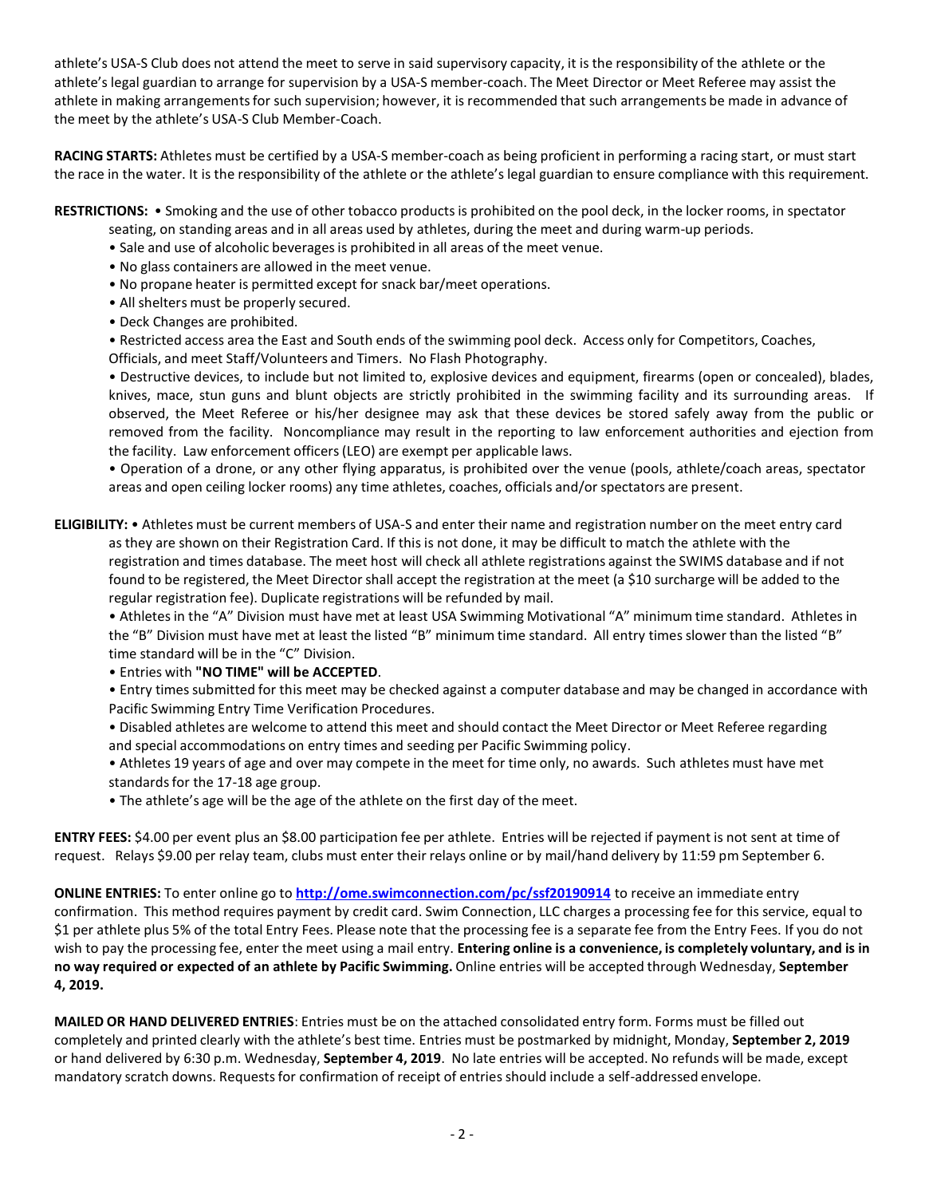athlete's USA-S Club does not attend the meet to serve in said supervisory capacity, it is the responsibility of the athlete or the athlete's legal guardian to arrange for supervision by a USA-S member-coach. The Meet Director or Meet Referee may assist the athlete in making arrangements for such supervision; however, it is recommended that such arrangements be made in advance of the meet by the athlete's USA-S Club Member-Coach.

**RACING STARTS:** Athletes must be certified by a USA-S member-coach as being proficient in performing a racing start, or must start the race in the water. It is the responsibility of the athlete or the athlete's legal guardian to ensure compliance with this requirement.

**RESTRICTIONS:** • Smoking and the use of other tobacco productsis prohibited on the pool deck, in the locker rooms, in spectator

- seating, on standing areas and in all areas used by athletes, during the meet and during warm-up periods.
- Sale and use of alcoholic beverages is prohibited in all areas of the meet venue.
- No glass containers are allowed in the meet venue.
- No propane heater is permitted except for snack bar/meet operations.
- All shelters must be properly secured.
- Deck Changes are prohibited.

• Restricted access area the East and South ends of the swimming pool deck. Access only for Competitors, Coaches, Officials, and meet Staff/Volunteers and Timers. No Flash Photography.

• Destructive devices, to include but not limited to, explosive devices and equipment, firearms (open or concealed), blades, knives, mace, stun guns and blunt objects are strictly prohibited in the swimming facility and its surrounding areas. If observed, the Meet Referee or his/her designee may ask that these devices be stored safely away from the public or removed from the facility. Noncompliance may result in the reporting to law enforcement authorities and ejection from the facility. Law enforcement officers(LEO) are exempt per applicable laws.

• Operation of a drone, or any other flying apparatus, is prohibited over the venue (pools, athlete/coach areas, spectator areas and open ceiling locker rooms) any time athletes, coaches, officials and/or spectators are present.

**ELIGIBILITY:** • Athletes must be current members of USA-S and enter their name and registration number on the meet entry card as they are shown on their Registration Card. If this is not done, it may be difficult to match the athlete with the registration and times database. The meet host will check all athlete registrations against the SWIMS database and if not found to be registered, the Meet Directorshall accept the registration at the meet (a \$10 surcharge will be added to the regular registration fee). Duplicate registrations will be refunded by mail.

• Athletesin the "A" Division must have met at least USA Swimming Motivational "A" minimum time standard. Athletes in the "B" Division must have met at least the listed "B" minimum time standard. All entry times slower than the listed "B" time standard will be in the "C" Division.

## • Entries with **"NO TIME" will be ACCEPTED**.

• Entry times submitted for this meet may be checked against a computer database and may be changed in accordance with Pacific Swimming Entry Time Verification Procedures.

- Disabled athletes are welcome to attend this meet and should contact the Meet Director or Meet Referee regarding and special accommodations on entry times and seeding per Pacific Swimming policy.
- Athletes 19 years of age and over may compete in the meet for time only, no awards. Such athletes must have met standards for the 17-18 age group.
- The athlete's age will be the age of the athlete on the first day of the meet.

**ENTRY FEES:** \$4.00 per event plus an \$8.00 participation fee per athlete. Entries will be rejected if payment is not sent at time of request. Relays \$9.00 per relay team, clubs must enter their relays online or by mail/hand delivery by 11:59 pm September 6.

**ONLINE ENTRIES:** To enter online go to **<http://ome.swimconnection.com/pc/ssf20190914>** to receive an immediate entry confirmation. This method requires payment by credit card. Swim Connection, LLC charges a processing fee for this service, equal to \$1 per athlete plus 5% of the total Entry Fees. Please note that the processing fee is a separate fee from the Entry Fees. If you do not wish to pay the processing fee, enter the meet using a mail entry. **Entering online is a convenience, is completely voluntary, and is in no way required or expected of an athlete by Pacific Swimming.** Online entries will be accepted through Wednesday, **September 4, 2019.**

**MAILED OR HAND DELIVERED ENTRIES**: Entries must be on the attached consolidated entry form. Forms must be filled out completely and printed clearly with the athlete's best time. Entries must be postmarked by midnight, Monday, **September 2, 2019** or hand delivered by 6:30 p.m. Wednesday, **September 4, 2019**. No late entries will be accepted. No refunds will be made, except mandatory scratch downs. Requestsfor confirmation of receipt of entriesshould include a self-addressed envelope.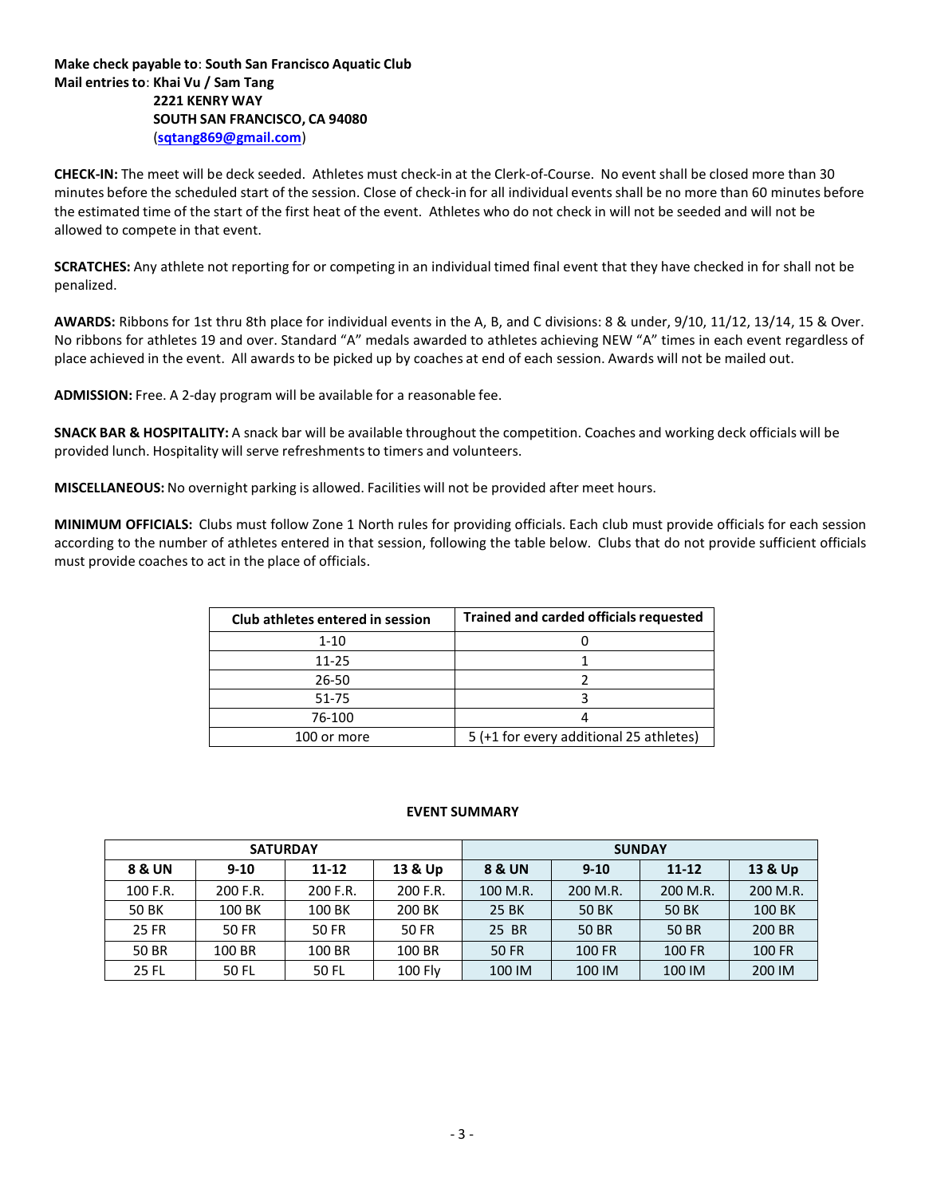**Make check payable to**: **South San Francisco Aquatic Club Mail entriesto**: **Khai Vu / Sam Tang 2221 KENRY WAY SOUTH SAN FRANCISCO, CA 94080** (**[sqtang869@gmail.com](mailto:sqtang869@gmail.com)**)

**CHECK-IN:** The meet will be deck seeded. Athletes must check-in at the Clerk-of-Course. No event shall be closed more than 30 minutes before the scheduled start of the session. Close of check-in for all individual events shall be no more than 60 minutes before the estimated time of the start of the first heat of the event. Athletes who do not check in will not be seeded and will not be allowed to compete in that event.

**SCRATCHES:** Any athlete not reporting for or competing in an individual timed final event that they have checked in for shall not be penalized.

**AWARDS:** Ribbons for 1st thru 8th place for individual events in the A, B, and C divisions: 8 & under, 9/10, 11/12, 13/14, 15 & Over. No ribbons for athletes 19 and over. Standard "A" medals awarded to athletes achieving NEW "A" times in each event regardless of place achieved in the event. All awardsto be picked up by coaches at end of each session. Awards will not be mailed out.

**ADMISSION:** Free. A 2-day program will be available for a reasonable fee.

**SNACK BAR & HOSPITALITY:** A snack bar will be available throughout the competition. Coaches and working deck officials will be provided lunch. Hospitality will serve refreshmentsto timers and volunteers.

**MISCELLANEOUS:** No overnight parking is allowed. Facilities will not be provided after meet hours.

**MINIMUM OFFICIALS:** Clubs must follow Zone 1 North rules for providing officials. Each club must provide officials for each session according to the number of athletes entered in that session, following the table below. Clubs that do not provide sufficient officials must provide coaches to act in the place of officials.

| Club athletes entered in session | <b>Trained and carded officials requested</b> |  |  |  |  |
|----------------------------------|-----------------------------------------------|--|--|--|--|
| $1 - 10$                         |                                               |  |  |  |  |
| 11-25                            |                                               |  |  |  |  |
| 26-50                            |                                               |  |  |  |  |
| 51-75                            |                                               |  |  |  |  |
| 76-100                           |                                               |  |  |  |  |
| 100 or more                      | 5 (+1 for every additional 25 athletes)       |  |  |  |  |

## **EVENT SUMMARY**

|              | <b>SATURDAY</b> |           |          | <b>SUNDAY</b> |          |              |          |  |  |
|--------------|-----------------|-----------|----------|---------------|----------|--------------|----------|--|--|
| 8 & UN       | $9 - 10$        | $11 - 12$ | 13 & Up  |               | $9 - 10$ | $11 - 12$    | 13 & Up  |  |  |
| 100 F.R.     | 200 F.R.        | 200 F.R.  | 200 F.R. | 100 M.R.      | 200 M.R. | 200 M.R.     | 200 M.R. |  |  |
| <b>50 BK</b> | 100 BK          | 100 BK    | 200 BK   | 25 BK         | 50 BK    | <b>50 BK</b> | 100 BK   |  |  |
| <b>25 FR</b> | 50 FR           | 50 FR     | 50 FR    | 25 BR         | 50 BR    | 50 BR        | 200 BR   |  |  |
| 50 BR        | 100 BR          | 100 BR    | 100 BR   | 50 FR         | 100 FR   | 100 FR       | 100 FR   |  |  |
| 25 FL        | 50 FL           | 50 FL     | 100 Fly  | 100 IM        | 100 IM   | 100 IM       | 200 IM   |  |  |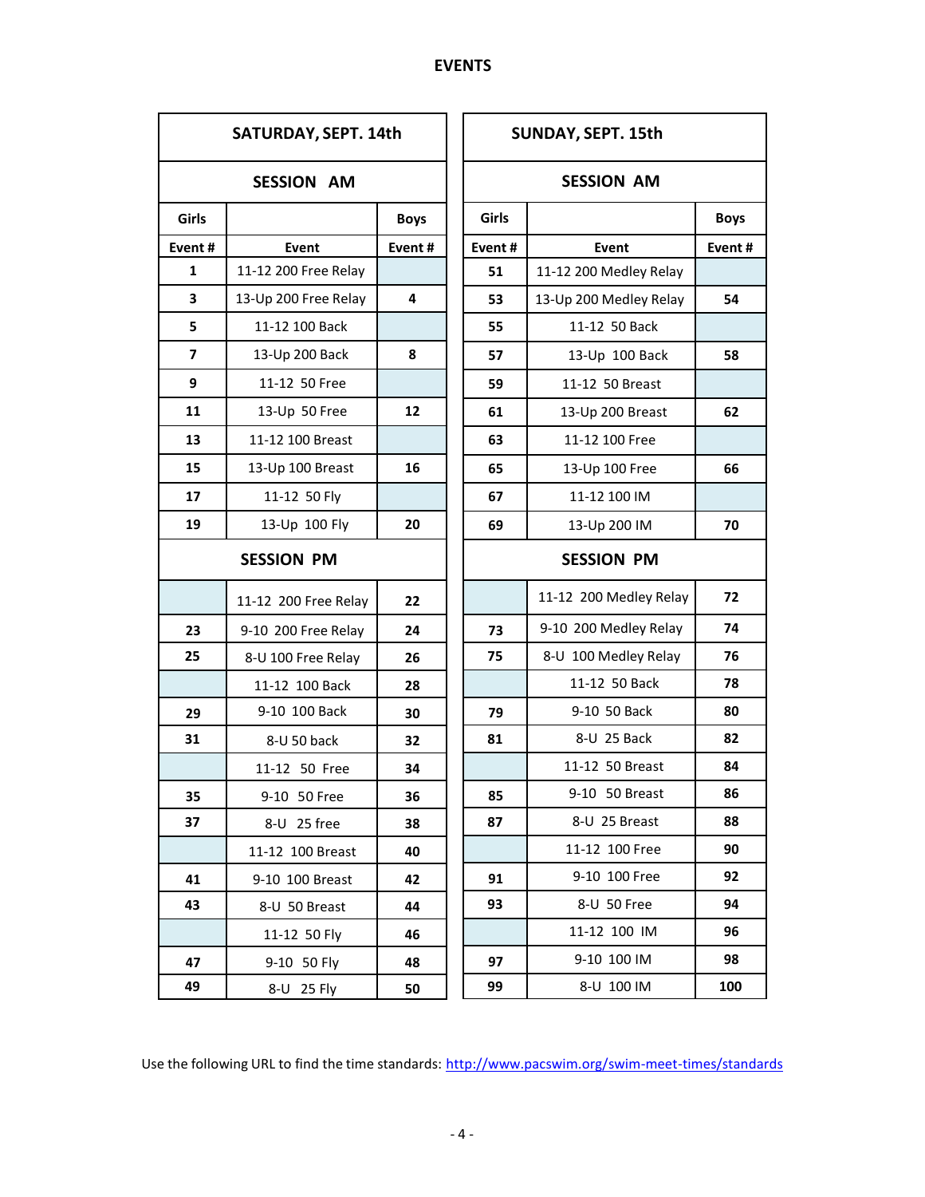| SATURDAY, SEPT. 14th |                      |             |  |  |  |  |  |
|----------------------|----------------------|-------------|--|--|--|--|--|
| <b>SESSION AM</b>    |                      |             |  |  |  |  |  |
| Girls                |                      | <b>Boys</b> |  |  |  |  |  |
| Event#               | Event                | Event#      |  |  |  |  |  |
| 1                    | 11-12 200 Free Relay |             |  |  |  |  |  |
| 3                    | 13-Up 200 Free Relay | 4           |  |  |  |  |  |
| 5                    | 11-12 100 Back       |             |  |  |  |  |  |
| 7                    | 13-Up 200 Back       | 8           |  |  |  |  |  |
| 9                    | 11-12 50 Free        |             |  |  |  |  |  |
| 11                   | 13-Up 50 Free        | 12          |  |  |  |  |  |
| 13                   | 11-12 100 Breast     |             |  |  |  |  |  |
| 15                   | 13-Up 100 Breast     | 16          |  |  |  |  |  |
| 17                   | 11-12 50 Fly         |             |  |  |  |  |  |
| 19                   | 13-Up 100 Fly        |             |  |  |  |  |  |
| <b>SESSION PM</b>    |                      |             |  |  |  |  |  |
|                      | 11-12 200 Free Relay | 22          |  |  |  |  |  |
| 23                   | 9-10 200 Free Relay  | 24          |  |  |  |  |  |
| 25                   | 8-U 100 Free Relay   | 26          |  |  |  |  |  |
|                      | 11-12 100 Back       | 28          |  |  |  |  |  |
| 29                   | 9-10 100 Back        | 30          |  |  |  |  |  |
| 31                   | 8-U 50 back          | 32          |  |  |  |  |  |
|                      | 11-12 50 Free        | 34          |  |  |  |  |  |
| 35                   | 9-10 50 Free         | 36          |  |  |  |  |  |
| 37                   | 8-U 25 free          | 38          |  |  |  |  |  |
|                      | 11-12 100 Breast     | 40          |  |  |  |  |  |
| 41                   | 9-10 100 Breast      | 42          |  |  |  |  |  |
| 43                   | 8-U 50 Breast        | 44          |  |  |  |  |  |
|                      | 11-12 50 Fly         | 46          |  |  |  |  |  |
| 47                   | 9-10 50 Fly          | 48          |  |  |  |  |  |
| 49                   | 8-U 25 Fly           | 50          |  |  |  |  |  |

| SUNDAY, SEPT. 15th |                        |             |  |  |  |  |  |
|--------------------|------------------------|-------------|--|--|--|--|--|
|                    | <b>SESSION AM</b>      |             |  |  |  |  |  |
| Girls              |                        | <b>Boys</b> |  |  |  |  |  |
| Event#             | Event                  | Event#      |  |  |  |  |  |
| 51                 | 11-12 200 Medley Relay |             |  |  |  |  |  |
| 53                 | 13-Up 200 Medley Relay | 54          |  |  |  |  |  |
| 55                 | 11-12 50 Back          |             |  |  |  |  |  |
| 57                 | 13-Up 100 Back         | 58          |  |  |  |  |  |
| 59                 | 11-12 50 Breast        |             |  |  |  |  |  |
| 61                 | 13-Up 200 Breast       | 62          |  |  |  |  |  |
| 63                 | 11-12 100 Free         |             |  |  |  |  |  |
| 65                 | 13-Up 100 Free         | 66          |  |  |  |  |  |
| 67                 | 11-12 100 IM           |             |  |  |  |  |  |
| 69                 | 13-Up 200 IM           | 70          |  |  |  |  |  |
|                    | <b>SESSION PM</b>      |             |  |  |  |  |  |
|                    | 11-12 200 Medley Relay | 72          |  |  |  |  |  |
| 73                 | 9-10 200 Medley Relay  | 74          |  |  |  |  |  |
| 75                 | 8-U 100 Medley Relay   | 76          |  |  |  |  |  |
|                    | 11-12 50 Back          | 78          |  |  |  |  |  |
| 79                 | 9-10 50 Back           | 80          |  |  |  |  |  |
| 81                 | 8-U 25 Back            | 82          |  |  |  |  |  |
|                    | 11-12 50 Breast        | 84          |  |  |  |  |  |
| 85                 | 9-10 50 Breast         | 86          |  |  |  |  |  |
| 87                 | 8-U 25 Breast          | 88          |  |  |  |  |  |
|                    | 11-12 100 Free         | 90          |  |  |  |  |  |
| 91                 | 9-10 100 Free          | 92          |  |  |  |  |  |
| 93                 | 8-U 50 Free            | 94          |  |  |  |  |  |
|                    | 11-12 100 IM           | 96          |  |  |  |  |  |
| 97                 | 9-10 100 IM            | 98          |  |  |  |  |  |
| 99                 | 8-U 100 IM             | 100         |  |  |  |  |  |

Use the following URL to find the time standards: <http://www.pacswim.org/swim-meet-times/standards>